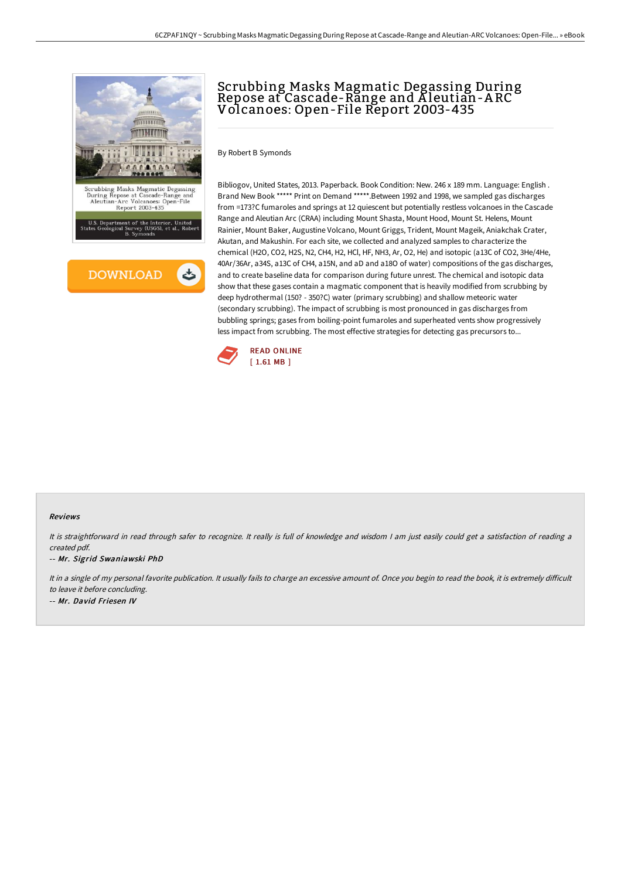Scrubbing Masks Magmatic Degassing During Repose at Cascade-Range and A leutian-A RC

Volcanoes: Open-File Report 2003-435





Brand New Book \*\*\*\*\* Print on Demand \*\*\*\*\*.Between 1992 and 1998, we sampled gas discharges from =173?C fumaroles and springs at 12 quiescent but potentially restless volcanoes in the Cascade Range and Aleutian Arc (CRAA) including Mount Shasta, Mount Hood, Mount St. Helens, Mount Rainier, Mount Baker, Augustine Volcano, Mount Griggs, Trident, Mount Mageik, Aniakchak Crater, Akutan, and Makushin. For each site, we collected and analyzed samples to characterize the chemical (H2O, CO2, H2S, N2, CH4, H2, HCl, HF, NH3, Ar, O2, He) and isotopic (a13C of CO2, 3He/4He, 40Ar/36Ar, a34S, a13C of CH4, a15N, and aD and a18O of water) compositions of the gas discharges, and to create baseline data for comparison during future unrest. The chemical and isotopic data show that these gases contain a magmatic component that is heavily modified from scrubbing by deep hydrothermal (150? - 350?C) water (primary scrubbing) and shallow meteoric water (secondary scrubbing). The impact of scrubbing is most pronounced in gas discharges from bubbling springs; gases from boiling-point fumaroles and superheated vents show progressively less impact from scrubbing. The most effective strategies for detecting gas precursors to...



## Reviews

It is straightforward in read through safer to recognize. It really is full of knowledge and wisdom <sup>I</sup> am just easily could get <sup>a</sup> satisfaction of reading <sup>a</sup> created pdf.

-- Mr. Sigrid Swaniawski PhD

It in a single of my personal favorite publication. It usually fails to charge an excessive amount of. Once you begin to read the book, it is extremely difficult to leave it before concluding. -- Mr. David Friesen IV